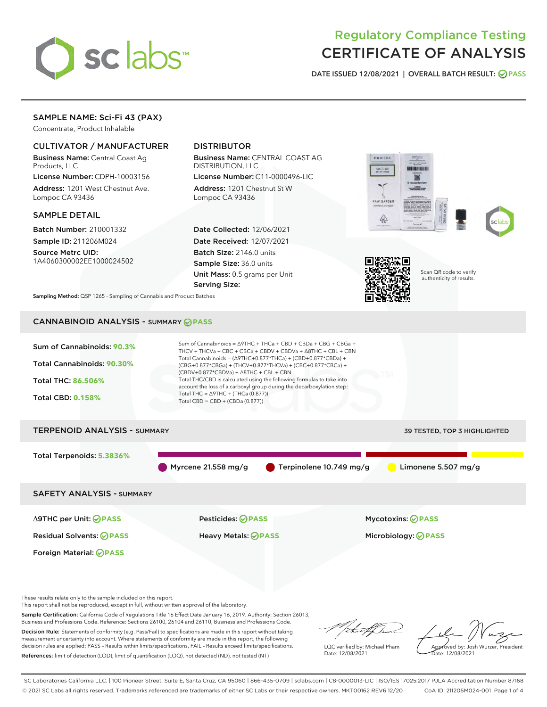

# Regulatory Compliance Testing CERTIFICATE OF ANALYSIS

DATE ISSUED 12/08/2021 | OVERALL BATCH RESULT: @ PASS

# SAMPLE NAME: Sci-Fi 43 (PAX)

Concentrate, Product Inhalable

### CULTIVATOR / MANUFACTURER

Business Name: Central Coast Ag Products, LLC

License Number: CDPH-10003156 Address: 1201 West Chestnut Ave. Lompoc CA 93436

### SAMPLE DETAIL

Batch Number: 210001332 Sample ID: 211206M024

Source Metrc UID: 1A4060300002EE1000024502

# DISTRIBUTOR

Business Name: CENTRAL COAST AG DISTRIBUTION, LLC

License Number: C11-0000496-LIC Address: 1201 Chestnut St W Lompoc CA 93436

Date Collected: 12/06/2021 Date Received: 12/07/2021 Batch Size: 2146.0 units Sample Size: 36.0 units Unit Mass: 0.5 grams per Unit Serving Size:





Scan QR code to verify authenticity of results.

Sampling Method: QSP 1265 - Sampling of Cannabis and Product Batches

# CANNABINOID ANALYSIS - SUMMARY **PASS**



Sample Certification: California Code of Regulations Title 16 Effect Date January 16, 2019. Authority: Section 26013, Business and Professions Code. Reference: Sections 26100, 26104 and 26110, Business and Professions Code.

Decision Rule: Statements of conformity (e.g. Pass/Fail) to specifications are made in this report without taking measurement uncertainty into account. Where statements of conformity are made in this report, the following decision rules are applied: PASS – Results within limits/specifications, FAIL – Results exceed limits/specifications. References: limit of detection (LOD), limit of quantification (LOQ), not detected (ND), not tested (NT)

that for

LQC verified by: Michael Pham Date: 12/08/2021

Approved by: Josh Wurzer, President Date: 12/08/2021

SC Laboratories California LLC. | 100 Pioneer Street, Suite E, Santa Cruz, CA 95060 | 866-435-0709 | sclabs.com | C8-0000013-LIC | ISO/IES 17025:2017 PJLA Accreditation Number 87168 © 2021 SC Labs all rights reserved. Trademarks referenced are trademarks of either SC Labs or their respective owners. MKT00162 REV6 12/20 CoA ID: 211206M024-001 Page 1 of 4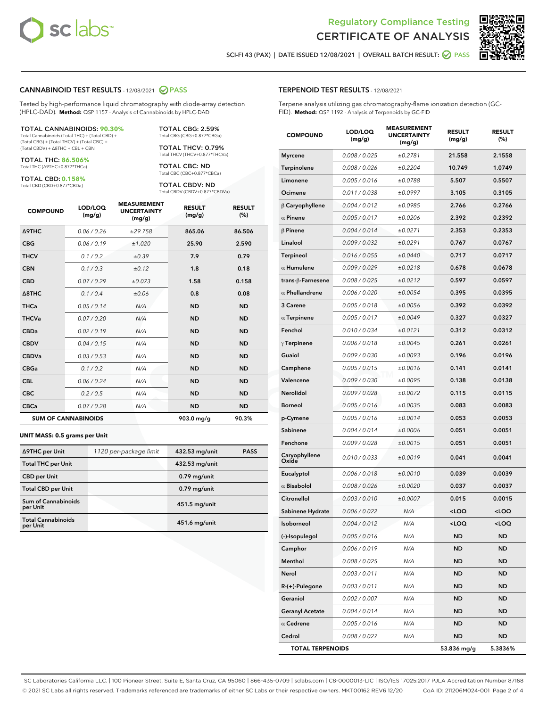



SCI-FI 43 (PAX) | DATE ISSUED 12/08/2021 | OVERALL BATCH RESULT: 2 PASS

### CANNABINOID TEST RESULTS - 12/08/2021 2 PASS

Tested by high-performance liquid chromatography with diode-array detection (HPLC-DAD). **Method:** QSP 1157 - Analysis of Cannabinoids by HPLC-DAD

#### TOTAL CANNABINOIDS: **90.30%**

Total Cannabinoids (Total THC) + (Total CBD) + (Total CBG) + (Total THCV) + (Total CBC) + (Total CBDV) + ∆8THC + CBL + CBN

TOTAL THC: **86.506%** Total THC (∆9THC+0.877\*THCa)

TOTAL CBD: **0.158%**

Total CBD (CBD+0.877\*CBDa)

TOTAL CBG: 2.59% Total CBG (CBG+0.877\*CBGa)

TOTAL THCV: 0.79% Total THCV (THCV+0.877\*THCVa)

TOTAL CBC: ND Total CBC (CBC+0.877\*CBCa)

TOTAL CBDV: ND Total CBDV (CBDV+0.877\*CBDVa)

| <b>COMPOUND</b>            | LOD/LOQ<br>(mg/g) | <b>MEASUREMENT</b><br><b>UNCERTAINTY</b><br>(mg/g) | <b>RESULT</b><br>(mg/g) | <b>RESULT</b><br>(%) |
|----------------------------|-------------------|----------------------------------------------------|-------------------------|----------------------|
| Δ9THC                      | 0.06 / 0.26       | ±29.758                                            | 865.06                  | 86.506               |
| <b>CBG</b>                 | 0.06/0.19         | ±1.020                                             | 25.90                   | 2.590                |
| <b>THCV</b>                | 0.1 / 0.2         | ±0.39                                              | 7.9                     | 0.79                 |
| <b>CBN</b>                 | 0.1/0.3           | ±0.12                                              | 1.8                     | 0.18                 |
| <b>CBD</b>                 | 0.07/0.29         | ±0.073                                             | 1.58                    | 0.158                |
| $\triangle$ 8THC           | 0.1 / 0.4         | ±0.06                                              | 0.8                     | 0.08                 |
| <b>THCa</b>                | 0.05/0.14         | N/A                                                | <b>ND</b>               | <b>ND</b>            |
| <b>THCVa</b>               | 0.07/0.20         | N/A                                                | <b>ND</b>               | <b>ND</b>            |
| <b>CBDa</b>                | 0.02/0.19         | N/A                                                | <b>ND</b>               | <b>ND</b>            |
| <b>CBDV</b>                | 0.04 / 0.15       | N/A                                                | <b>ND</b>               | <b>ND</b>            |
| <b>CBDVa</b>               | 0.03/0.53         | N/A                                                | <b>ND</b>               | <b>ND</b>            |
| <b>CBGa</b>                | 0.1 / 0.2         | N/A                                                | <b>ND</b>               | <b>ND</b>            |
| <b>CBL</b>                 | 0.06 / 0.24       | N/A                                                | <b>ND</b>               | <b>ND</b>            |
| <b>CBC</b>                 | 0.2 / 0.5         | N/A                                                | <b>ND</b>               | <b>ND</b>            |
| <b>CBCa</b>                | 0.07 / 0.28       | N/A                                                | <b>ND</b>               | <b>ND</b>            |
| <b>SUM OF CANNABINOIDS</b> |                   |                                                    | 903.0 mg/g              | 90.3%                |

#### **UNIT MASS: 0.5 grams per Unit**

| ∆9THC per Unit                         | 1120 per-package limit | 432.53 mg/unit | <b>PASS</b> |
|----------------------------------------|------------------------|----------------|-------------|
| <b>Total THC per Unit</b>              |                        | 432.53 mg/unit |             |
| <b>CBD per Unit</b>                    |                        | $0.79$ mg/unit |             |
| <b>Total CBD per Unit</b>              |                        | $0.79$ mg/unit |             |
| <b>Sum of Cannabinoids</b><br>per Unit |                        | 451.5 mg/unit  |             |
| <b>Total Cannabinoids</b><br>per Unit  |                        | 451.6 mg/unit  |             |

| <b>COMPOUND</b>         | LOD/LOQ<br>(mg/g) | <b>MEASUREMENT</b><br><b>UNCERTAINTY</b><br>(mg/g) | <b>RESULT</b><br>(mg/g)                         | <b>RESULT</b><br>$(\%)$ |
|-------------------------|-------------------|----------------------------------------------------|-------------------------------------------------|-------------------------|
| <b>Myrcene</b>          | 0.008 / 0.025     | ±0.2781                                            | 21.558                                          | 2.1558                  |
| Terpinolene             | 0.008 / 0.026     | ±0.2204                                            | 10.749                                          | 1.0749                  |
| Limonene                | 0.005 / 0.016     | ±0.0788                                            | 5.507                                           | 0.5507                  |
| Ocimene                 | 0.011 / 0.038     | ±0.0997                                            | 3.105                                           | 0.3105                  |
| $\beta$ Caryophyllene   | 0.004 / 0.012     | ±0.0985                                            | 2.766                                           | 0.2766                  |
| $\alpha$ Pinene         | 0.005 / 0.017     | ±0.0206                                            | 2.392                                           | 0.2392                  |
| $\beta$ Pinene          | 0.004 / 0.014     | ±0.0271                                            | 2.353                                           | 0.2353                  |
| Linalool                | 0.009 / 0.032     | ±0.0291                                            | 0.767                                           | 0.0767                  |
| Terpineol               | 0.016 / 0.055     | ±0.0440                                            | 0.717                                           | 0.0717                  |
| $\alpha$ Humulene       | 0.009 / 0.029     | ±0.0218                                            | 0.678                                           | 0.0678                  |
| trans-ß-Farnesene       | 0.008 / 0.025     | ±0.0212                                            | 0.597                                           | 0.0597                  |
| $\alpha$ Phellandrene   | 0.006 / 0.020     | ±0.0054                                            | 0.395                                           | 0.0395                  |
| 3 Carene                | 0.005 / 0.018     | ±0.0056                                            | 0.392                                           | 0.0392                  |
| $\alpha$ Terpinene      | 0.005 / 0.017     | ±0.0049                                            | 0.327                                           | 0.0327                  |
| Fenchol                 | 0.010 / 0.034     | ±0.0121                                            | 0.312                                           | 0.0312                  |
| $\gamma$ Terpinene      | 0.006 / 0.018     | ±0.0045                                            | 0.261                                           | 0.0261                  |
| Guaiol                  | 0.009 / 0.030     | ±0.0093                                            | 0.196                                           | 0.0196                  |
| Camphene                | 0.005 / 0.015     | ±0.0016                                            | 0.141                                           | 0.0141                  |
| Valencene               | 0.009 / 0.030     | ±0.0095                                            | 0.138                                           | 0.0138                  |
| Nerolidol               | 0.009 / 0.028     | ±0.0072                                            | 0.115                                           | 0.0115                  |
| <b>Borneol</b>          | 0.005 / 0.016     | ±0.0035                                            | 0.083                                           | 0.0083                  |
| p-Cymene                | 0.005 / 0.016     | ±0.0014                                            | 0.053                                           | 0.0053                  |
| Sabinene                | 0.004 / 0.014     | ±0.0006                                            | 0.051                                           | 0.0051                  |
| Fenchone                | 0.009 / 0.028     | ±0.0015                                            | 0.051                                           | 0.0051                  |
| Caryophyllene<br>Oxide  | 0.010 / 0.033     | ±0.0019                                            | 0.041                                           | 0.0041                  |
| Eucalyptol              | 0.006 / 0.018     | ±0.0010                                            | 0.039                                           | 0.0039                  |
| $\alpha$ Bisabolol      | 0.008 / 0.026     | ±0.0020                                            | 0.037                                           | 0.0037                  |
| Citronellol             | 0.003 / 0.010     | ±0.0007                                            | 0.015                                           | 0.0015                  |
| Sabinene Hydrate        | 0.006 / 0.022     | N/A                                                | <loq< th=""><th><loq< th=""></loq<></th></loq<> | <loq< th=""></loq<>     |
| Isoborneol              | 0.004 / 0.012     | N/A                                                | <loq< th=""><th><loq< th=""></loq<></th></loq<> | <loq< th=""></loq<>     |
| (-)-Isopulegol          | 0.005 / 0.016     | N/A                                                | ND                                              | ND                      |
| Camphor                 | 0.006 / 0.019     | N/A                                                | ND                                              | ND                      |
| Menthol                 | 0.008 / 0.025     | N/A                                                | ND                                              | ND                      |
| Nerol                   | 0.003 / 0.011     | N/A                                                | ND                                              | ND                      |
| R-(+)-Pulegone          | 0.003 / 0.011     | N/A                                                | ND                                              | ND                      |
| Geraniol                | 0.002 / 0.007     | N/A                                                | ND                                              | ND                      |
| <b>Geranyl Acetate</b>  | 0.004 / 0.014     | N/A                                                | ND                                              | ND                      |
| $\alpha$ Cedrene        | 0.005 / 0.016     | N/A                                                | ND                                              | ND                      |
| Cedrol                  | 0.008 / 0.027     | N/A                                                | ND                                              | ND                      |
| <b>TOTAL TERPENOIDS</b> |                   |                                                    | 53.836 mg/g                                     | 5.3836%                 |

SC Laboratories California LLC. | 100 Pioneer Street, Suite E, Santa Cruz, CA 95060 | 866-435-0709 | sclabs.com | C8-0000013-LIC | ISO/IES 17025:2017 PJLA Accreditation Number 87168 © 2021 SC Labs all rights reserved. Trademarks referenced are trademarks of either SC Labs or their respective owners. MKT00162 REV6 12/20 CoA ID: 211206M024-001 Page 2 of 4

# TERPENOID TEST RESULTS - 12/08/2021

Terpene analysis utilizing gas chromatography-flame ionization detection (GC-FID). **Method:** QSP 1192 - Analysis of Terpenoids by GC-FID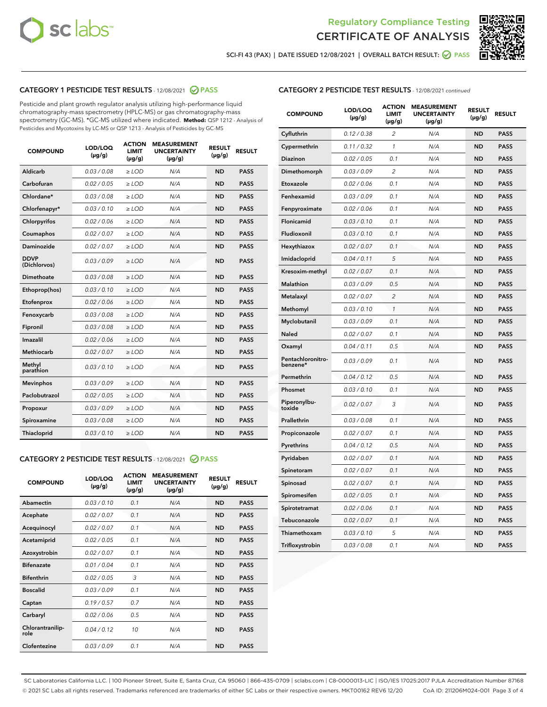



SCI-FI 43 (PAX) | DATE ISSUED 12/08/2021 | OVERALL BATCH RESULT: 2 PASS

# CATEGORY 1 PESTICIDE TEST RESULTS - 12/08/2021 2 PASS

Pesticide and plant growth regulator analysis utilizing high-performance liquid chromatography-mass spectrometry (HPLC-MS) or gas chromatography-mass spectrometry (GC-MS). \*GC-MS utilized where indicated. **Method:** QSP 1212 - Analysis of Pesticides and Mycotoxins by LC-MS or QSP 1213 - Analysis of Pesticides by GC-MS

| 0.03 / 0.08<br><b>ND</b><br><b>PASS</b><br>Aldicarb<br>$\ge$ LOD<br>N/A<br>Carbofuran<br>0.02 / 0.05<br>$\ge$ LOD<br>N/A<br><b>ND</b><br><b>PASS</b><br>Chlordane*<br>0.03 / 0.08<br>$\ge$ LOD<br>N/A<br><b>ND</b><br><b>PASS</b><br>Chlorfenapyr*<br>0.03/0.10<br>$\ge$ LOD<br>N/A<br><b>ND</b><br><b>PASS</b><br>Chlorpyrifos<br>0.02 / 0.06<br>N/A<br><b>ND</b><br><b>PASS</b><br>$\ge$ LOD<br>Coumaphos<br>0.02 / 0.07<br>N/A<br><b>ND</b><br><b>PASS</b><br>$\ge$ LOD<br>Daminozide<br>0.02 / 0.07<br>N/A<br><b>ND</b><br><b>PASS</b><br>$\ge$ LOD<br><b>DDVP</b><br>0.03/0.09<br>$>$ LOD<br>N/A<br><b>ND</b><br><b>PASS</b><br>(Dichlorvos)<br>Dimethoate<br>0.03 / 0.08<br>$\ge$ LOD<br><b>ND</b><br><b>PASS</b><br>N/A<br>0.03/0.10<br>N/A<br><b>ND</b><br><b>PASS</b><br>Ethoprop(hos)<br>$>$ LOD<br>0.02 / 0.06<br>N/A<br><b>ND</b><br><b>PASS</b><br>$\ge$ LOD<br>Etofenprox<br>Fenoxycarb<br>0.03 / 0.08<br>$\ge$ LOD<br>N/A<br><b>ND</b><br><b>PASS</b><br>0.03 / 0.08<br>$\ge$ LOD<br>N/A<br><b>ND</b><br><b>PASS</b><br>Fipronil<br>Imazalil<br>0.02 / 0.06<br>$>$ LOD<br>N/A<br><b>ND</b><br><b>PASS</b><br><b>Methiocarb</b><br>0.02 / 0.07<br>$\ge$ LOD<br>N/A<br><b>ND</b><br><b>PASS</b><br>Methyl<br>0.03/0.10<br>N/A<br><b>ND</b><br><b>PASS</b><br>$\ge$ LOD<br>parathion<br>0.03/0.09<br><b>Mevinphos</b><br>$\ge$ LOD<br>N/A<br><b>ND</b><br><b>PASS</b><br>Paclobutrazol<br>0.02 / 0.05<br>$>$ LOD<br>N/A<br><b>ND</b><br><b>PASS</b><br>0.03/0.09<br>N/A<br>$\ge$ LOD<br><b>ND</b><br><b>PASS</b><br>Propoxur<br>0.03 / 0.08<br><b>ND</b><br><b>PASS</b><br>Spiroxamine<br>$\ge$ LOD<br>N/A<br>Thiacloprid<br>0.03/0.10<br>$\ge$ LOD<br>N/A<br><b>ND</b><br><b>PASS</b> | <b>COMPOUND</b> | LOD/LOQ<br>$(\mu g/g)$ | <b>ACTION</b><br><b>LIMIT</b><br>$(\mu g/g)$ | <b>MEASUREMENT</b><br><b>UNCERTAINTY</b><br>$(\mu g/g)$ | <b>RESULT</b><br>$(\mu g/g)$ | <b>RESULT</b> |
|----------------------------------------------------------------------------------------------------------------------------------------------------------------------------------------------------------------------------------------------------------------------------------------------------------------------------------------------------------------------------------------------------------------------------------------------------------------------------------------------------------------------------------------------------------------------------------------------------------------------------------------------------------------------------------------------------------------------------------------------------------------------------------------------------------------------------------------------------------------------------------------------------------------------------------------------------------------------------------------------------------------------------------------------------------------------------------------------------------------------------------------------------------------------------------------------------------------------------------------------------------------------------------------------------------------------------------------------------------------------------------------------------------------------------------------------------------------------------------------------------------------------------------------------------------------------------------------------------------------------------------------------------------------------------------------------------|-----------------|------------------------|----------------------------------------------|---------------------------------------------------------|------------------------------|---------------|
|                                                                                                                                                                                                                                                                                                                                                                                                                                                                                                                                                                                                                                                                                                                                                                                                                                                                                                                                                                                                                                                                                                                                                                                                                                                                                                                                                                                                                                                                                                                                                                                                                                                                                                    |                 |                        |                                              |                                                         |                              |               |
|                                                                                                                                                                                                                                                                                                                                                                                                                                                                                                                                                                                                                                                                                                                                                                                                                                                                                                                                                                                                                                                                                                                                                                                                                                                                                                                                                                                                                                                                                                                                                                                                                                                                                                    |                 |                        |                                              |                                                         |                              |               |
|                                                                                                                                                                                                                                                                                                                                                                                                                                                                                                                                                                                                                                                                                                                                                                                                                                                                                                                                                                                                                                                                                                                                                                                                                                                                                                                                                                                                                                                                                                                                                                                                                                                                                                    |                 |                        |                                              |                                                         |                              |               |
|                                                                                                                                                                                                                                                                                                                                                                                                                                                                                                                                                                                                                                                                                                                                                                                                                                                                                                                                                                                                                                                                                                                                                                                                                                                                                                                                                                                                                                                                                                                                                                                                                                                                                                    |                 |                        |                                              |                                                         |                              |               |
|                                                                                                                                                                                                                                                                                                                                                                                                                                                                                                                                                                                                                                                                                                                                                                                                                                                                                                                                                                                                                                                                                                                                                                                                                                                                                                                                                                                                                                                                                                                                                                                                                                                                                                    |                 |                        |                                              |                                                         |                              |               |
|                                                                                                                                                                                                                                                                                                                                                                                                                                                                                                                                                                                                                                                                                                                                                                                                                                                                                                                                                                                                                                                                                                                                                                                                                                                                                                                                                                                                                                                                                                                                                                                                                                                                                                    |                 |                        |                                              |                                                         |                              |               |
|                                                                                                                                                                                                                                                                                                                                                                                                                                                                                                                                                                                                                                                                                                                                                                                                                                                                                                                                                                                                                                                                                                                                                                                                                                                                                                                                                                                                                                                                                                                                                                                                                                                                                                    |                 |                        |                                              |                                                         |                              |               |
|                                                                                                                                                                                                                                                                                                                                                                                                                                                                                                                                                                                                                                                                                                                                                                                                                                                                                                                                                                                                                                                                                                                                                                                                                                                                                                                                                                                                                                                                                                                                                                                                                                                                                                    |                 |                        |                                              |                                                         |                              |               |
|                                                                                                                                                                                                                                                                                                                                                                                                                                                                                                                                                                                                                                                                                                                                                                                                                                                                                                                                                                                                                                                                                                                                                                                                                                                                                                                                                                                                                                                                                                                                                                                                                                                                                                    |                 |                        |                                              |                                                         |                              |               |
|                                                                                                                                                                                                                                                                                                                                                                                                                                                                                                                                                                                                                                                                                                                                                                                                                                                                                                                                                                                                                                                                                                                                                                                                                                                                                                                                                                                                                                                                                                                                                                                                                                                                                                    |                 |                        |                                              |                                                         |                              |               |
|                                                                                                                                                                                                                                                                                                                                                                                                                                                                                                                                                                                                                                                                                                                                                                                                                                                                                                                                                                                                                                                                                                                                                                                                                                                                                                                                                                                                                                                                                                                                                                                                                                                                                                    |                 |                        |                                              |                                                         |                              |               |
|                                                                                                                                                                                                                                                                                                                                                                                                                                                                                                                                                                                                                                                                                                                                                                                                                                                                                                                                                                                                                                                                                                                                                                                                                                                                                                                                                                                                                                                                                                                                                                                                                                                                                                    |                 |                        |                                              |                                                         |                              |               |
|                                                                                                                                                                                                                                                                                                                                                                                                                                                                                                                                                                                                                                                                                                                                                                                                                                                                                                                                                                                                                                                                                                                                                                                                                                                                                                                                                                                                                                                                                                                                                                                                                                                                                                    |                 |                        |                                              |                                                         |                              |               |
|                                                                                                                                                                                                                                                                                                                                                                                                                                                                                                                                                                                                                                                                                                                                                                                                                                                                                                                                                                                                                                                                                                                                                                                                                                                                                                                                                                                                                                                                                                                                                                                                                                                                                                    |                 |                        |                                              |                                                         |                              |               |
|                                                                                                                                                                                                                                                                                                                                                                                                                                                                                                                                                                                                                                                                                                                                                                                                                                                                                                                                                                                                                                                                                                                                                                                                                                                                                                                                                                                                                                                                                                                                                                                                                                                                                                    |                 |                        |                                              |                                                         |                              |               |
|                                                                                                                                                                                                                                                                                                                                                                                                                                                                                                                                                                                                                                                                                                                                                                                                                                                                                                                                                                                                                                                                                                                                                                                                                                                                                                                                                                                                                                                                                                                                                                                                                                                                                                    |                 |                        |                                              |                                                         |                              |               |
|                                                                                                                                                                                                                                                                                                                                                                                                                                                                                                                                                                                                                                                                                                                                                                                                                                                                                                                                                                                                                                                                                                                                                                                                                                                                                                                                                                                                                                                                                                                                                                                                                                                                                                    |                 |                        |                                              |                                                         |                              |               |
|                                                                                                                                                                                                                                                                                                                                                                                                                                                                                                                                                                                                                                                                                                                                                                                                                                                                                                                                                                                                                                                                                                                                                                                                                                                                                                                                                                                                                                                                                                                                                                                                                                                                                                    |                 |                        |                                              |                                                         |                              |               |
|                                                                                                                                                                                                                                                                                                                                                                                                                                                                                                                                                                                                                                                                                                                                                                                                                                                                                                                                                                                                                                                                                                                                                                                                                                                                                                                                                                                                                                                                                                                                                                                                                                                                                                    |                 |                        |                                              |                                                         |                              |               |
|                                                                                                                                                                                                                                                                                                                                                                                                                                                                                                                                                                                                                                                                                                                                                                                                                                                                                                                                                                                                                                                                                                                                                                                                                                                                                                                                                                                                                                                                                                                                                                                                                                                                                                    |                 |                        |                                              |                                                         |                              |               |
|                                                                                                                                                                                                                                                                                                                                                                                                                                                                                                                                                                                                                                                                                                                                                                                                                                                                                                                                                                                                                                                                                                                                                                                                                                                                                                                                                                                                                                                                                                                                                                                                                                                                                                    |                 |                        |                                              |                                                         |                              |               |

### CATEGORY 2 PESTICIDE TEST RESULTS - 12/08/2021 @ PASS

| <b>COMPOUND</b>          | LOD/LOO<br>$(\mu g/g)$ | <b>ACTION</b><br>LIMIT<br>$(\mu g/g)$ | <b>MEASUREMENT</b><br><b>UNCERTAINTY</b><br>$(\mu g/g)$ | <b>RESULT</b><br>$(\mu g/g)$ | <b>RESULT</b> |  |
|--------------------------|------------------------|---------------------------------------|---------------------------------------------------------|------------------------------|---------------|--|
| Abamectin                | 0.03/0.10              | 0.1                                   | N/A                                                     | <b>ND</b>                    | <b>PASS</b>   |  |
| Acephate                 | 0.02/0.07              | 0.1                                   | N/A                                                     | <b>ND</b>                    | <b>PASS</b>   |  |
| Acequinocyl              | 0.02/0.07              | 0.1                                   | N/A                                                     | <b>ND</b>                    | <b>PASS</b>   |  |
| Acetamiprid              | 0.02/0.05              | 0.1                                   | N/A                                                     | <b>ND</b>                    | <b>PASS</b>   |  |
| Azoxystrobin             | 0.02/0.07              | 0.1                                   | N/A                                                     | <b>ND</b>                    | <b>PASS</b>   |  |
| <b>Bifenazate</b>        | 0.01 / 0.04            | 0.1                                   | N/A                                                     | <b>ND</b>                    | <b>PASS</b>   |  |
| <b>Bifenthrin</b>        | 0.02/0.05              | 3                                     | N/A                                                     | <b>ND</b>                    | <b>PASS</b>   |  |
| <b>Boscalid</b>          | 0.03/0.09              | 0.1                                   | N/A                                                     | <b>ND</b>                    | <b>PASS</b>   |  |
| Captan                   | 0.19/0.57              | 0.7                                   | N/A                                                     | <b>ND</b>                    | <b>PASS</b>   |  |
| Carbaryl                 | 0.02/0.06              | 0.5                                   | N/A                                                     | <b>ND</b>                    | <b>PASS</b>   |  |
| Chlorantranilip-<br>role | 0.04/0.12              | 10                                    | N/A                                                     | <b>ND</b>                    | <b>PASS</b>   |  |
| Clofentezine             | 0.03/0.09              | 0.1                                   | N/A                                                     | <b>ND</b>                    | <b>PASS</b>   |  |

| <b>CATEGORY 2 PESTICIDE TEST RESULTS</b> - 12/08/2021 continued |
|-----------------------------------------------------------------|
|-----------------------------------------------------------------|

| <b>COMPOUND</b>               | LOD/LOQ<br>(µg/g) | <b>ACTION</b><br>LIMIT<br>$(\mu g/g)$ | <b>MEASUREMENT</b><br><b>UNCERTAINTY</b><br>(µg/g) | <b>RESULT</b><br>(µg/g) | <b>RESULT</b> |
|-------------------------------|-------------------|---------------------------------------|----------------------------------------------------|-------------------------|---------------|
| Cyfluthrin                    | 0.12 / 0.38       | 2                                     | N/A                                                | <b>ND</b>               | <b>PASS</b>   |
| Cypermethrin                  | 0.11 / 0.32       | $\mathcal{I}$                         | N/A                                                | <b>ND</b>               | <b>PASS</b>   |
| Diazinon                      | 0.02 / 0.05       | 0.1                                   | N/A                                                | ND                      | <b>PASS</b>   |
| Dimethomorph                  | 0.03 / 0.09       | $\overline{2}$                        | N/A                                                | <b>ND</b>               | <b>PASS</b>   |
| Etoxazole                     | 0.02 / 0.06       | 0.1                                   | N/A                                                | <b>ND</b>               | <b>PASS</b>   |
| Fenhexamid                    | 0.03 / 0.09       | 0.1                                   | N/A                                                | <b>ND</b>               | <b>PASS</b>   |
| Fenpyroximate                 | 0.02 / 0.06       | 0.1                                   | N/A                                                | <b>ND</b>               | <b>PASS</b>   |
| Flonicamid                    | 0.03 / 0.10       | 0.1                                   | N/A                                                | <b>ND</b>               | <b>PASS</b>   |
| Fludioxonil                   | 0.03 / 0.10       | 0.1                                   | N/A                                                | <b>ND</b>               | <b>PASS</b>   |
| Hexythiazox                   | 0.02 / 0.07       | 0.1                                   | N/A                                                | <b>ND</b>               | <b>PASS</b>   |
| Imidacloprid                  | 0.04 / 0.11       | 5                                     | N/A                                                | <b>ND</b>               | <b>PASS</b>   |
| Kresoxim-methyl               | 0.02 / 0.07       | 0.1                                   | N/A                                                | <b>ND</b>               | <b>PASS</b>   |
| <b>Malathion</b>              | 0.03 / 0.09       | 0.5                                   | N/A                                                | <b>ND</b>               | <b>PASS</b>   |
| Metalaxyl                     | 0.02 / 0.07       | $\overline{2}$                        | N/A                                                | <b>ND</b>               | <b>PASS</b>   |
| Methomyl                      | 0.03 / 0.10       | 1                                     | N/A                                                | <b>ND</b>               | <b>PASS</b>   |
| Myclobutanil                  | 0.03 / 0.09       | 0.1                                   | N/A                                                | <b>ND</b>               | <b>PASS</b>   |
| Naled                         | 0.02 / 0.07       | 0.1                                   | N/A                                                | <b>ND</b>               | <b>PASS</b>   |
| Oxamyl                        | 0.04 / 0.11       | 0.5                                   | N/A                                                | <b>ND</b>               | <b>PASS</b>   |
| Pentachloronitro-<br>benzene* | 0.03 / 0.09       | 0.1                                   | N/A                                                | <b>ND</b>               | <b>PASS</b>   |
| Permethrin                    | 0.04 / 0.12       | 0.5                                   | N/A                                                | <b>ND</b>               | <b>PASS</b>   |
| Phosmet                       | 0.03/0.10         | 0.1                                   | N/A                                                | <b>ND</b>               | <b>PASS</b>   |
| Piperonylbu-<br>toxide        | 0.02 / 0.07       | 3                                     | N/A                                                | <b>ND</b>               | <b>PASS</b>   |
| Prallethrin                   | 0.03 / 0.08       | 0.1                                   | N/A                                                | <b>ND</b>               | <b>PASS</b>   |
| Propiconazole                 | 0.02 / 0.07       | 0.1                                   | N/A                                                | <b>ND</b>               | <b>PASS</b>   |
| Pyrethrins                    | 0.04 / 0.12       | 0.5                                   | N/A                                                | <b>ND</b>               | <b>PASS</b>   |
| Pyridaben                     | 0.02 / 0.07       | 0.1                                   | N/A                                                | <b>ND</b>               | <b>PASS</b>   |
| Spinetoram                    | 0.02 / 0.07       | 0.1                                   | N/A                                                | <b>ND</b>               | <b>PASS</b>   |
| Spinosad                      | 0.02 / 0.07       | 0.1                                   | N/A                                                | <b>ND</b>               | <b>PASS</b>   |
| Spiromesifen                  | 0.02 / 0.05       | 0.1                                   | N/A                                                | <b>ND</b>               | <b>PASS</b>   |
| Spirotetramat                 | 0.02 / 0.06       | 0.1                                   | N/A                                                | <b>ND</b>               | <b>PASS</b>   |
| Tebuconazole                  | 0.02 / 0.07       | 0.1                                   | N/A                                                | <b>ND</b>               | <b>PASS</b>   |
| Thiamethoxam                  | 0.03 / 0.10       | 5                                     | N/A                                                | <b>ND</b>               | <b>PASS</b>   |
| Trifloxystrobin               | 0.03 / 0.08       | 0.1                                   | N/A                                                | <b>ND</b>               | <b>PASS</b>   |

SC Laboratories California LLC. | 100 Pioneer Street, Suite E, Santa Cruz, CA 95060 | 866-435-0709 | sclabs.com | C8-0000013-LIC | ISO/IES 17025:2017 PJLA Accreditation Number 87168 © 2021 SC Labs all rights reserved. Trademarks referenced are trademarks of either SC Labs or their respective owners. MKT00162 REV6 12/20 CoA ID: 211206M024-001 Page 3 of 4